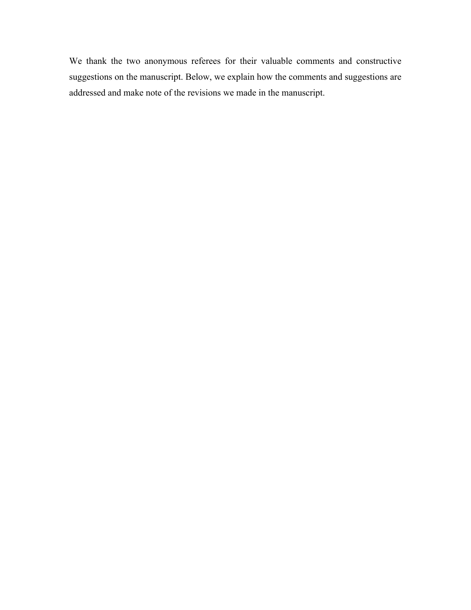We thank the two anonymous referees for their valuable comments and constructive suggestions on the manuscript. Below, we explain how the comments and suggestions are addressed and make note of the revisions we made in the manuscript.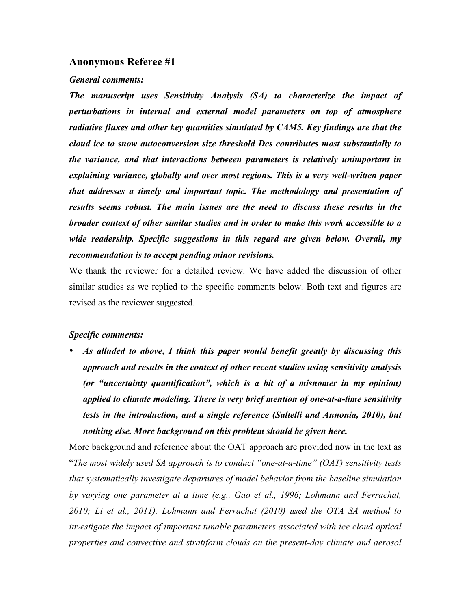### **Anonymous Referee #1**

### *General comments:*

*The manuscript uses Sensitivity Analysis (SA) to characterize the impact of perturbations in internal and external model parameters on top of atmosphere radiative fluxes and other key quantities simulated by CAM5. Key findings are that the cloud ice to snow autoconversion size threshold Dcs contributes most substantially to the variance, and that interactions between parameters is relatively unimportant in explaining variance, globally and over most regions. This is a very well-written paper that addresses a timely and important topic. The methodology and presentation of results seems robust. The main issues are the need to discuss these results in the broader context of other similar studies and in order to make this work accessible to a wide readership. Specific suggestions in this regard are given below. Overall, my recommendation is to accept pending minor revisions.*

We thank the reviewer for a detailed review. We have added the discussion of other similar studies as we replied to the specific comments below. Both text and figures are revised as the reviewer suggested.

### *Specific comments:*

• *As alluded to above, I think this paper would benefit greatly by discussing this approach and results in the context of other recent studies using sensitivity analysis (or "uncertainty quantification", which is a bit of a misnomer in my opinion) applied to climate modeling. There is very brief mention of one-at-a-time sensitivity tests in the introduction, and a single reference (Saltelli and Annonia, 2010), but nothing else. More background on this problem should be given here.* 

More background and reference about the OAT approach are provided now in the text as "*The most widely used SA approach is to conduct "one-at-a-time" (OAT) sensitivity tests that systematically investigate departures of model behavior from the baseline simulation by varying one parameter at a time (e.g., Gao et al., 1996; Lohmann and Ferrachat, 2010; Li et al., 2011). Lohmann and Ferrachat (2010) used the OTA SA method to investigate the impact of important tunable parameters associated with ice cloud optical properties and convective and stratiform clouds on the present-day climate and aerosol*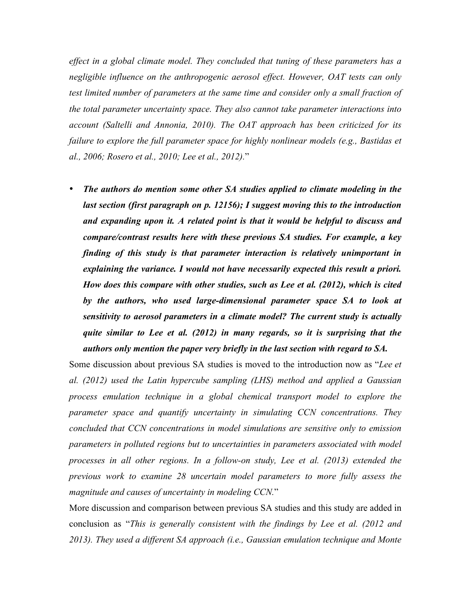*effect in a global climate model. They concluded that tuning of these parameters has a negligible influence on the anthropogenic aerosol effect. However, OAT tests can only test limited number of parameters at the same time and consider only a small fraction of the total parameter uncertainty space. They also cannot take parameter interactions into account (Saltelli and Annonia, 2010). The OAT approach has been criticized for its failure to explore the full parameter space for highly nonlinear models (e.g., Bastidas et al., 2006; Rosero et al., 2010; Lee et al., 2012).*"

• *The authors do mention some other SA studies applied to climate modeling in the last section (first paragraph on p. 12156); I suggest moving this to the introduction and expanding upon it. A related point is that it would be helpful to discuss and compare/contrast results here with these previous SA studies. For example, a key finding of this study is that parameter interaction is relatively unimportant in explaining the variance. I would not have necessarily expected this result a priori. How does this compare with other studies, such as Lee et al. (2012), which is cited by the authors, who used large-dimensional parameter space SA to look at sensitivity to aerosol parameters in a climate model? The current study is actually quite similar to Lee et al. (2012) in many regards, so it is surprising that the authors only mention the paper very briefly in the last section with regard to SA.*

Some discussion about previous SA studies is moved to the introduction now as "*Lee et al. (2012) used the Latin hypercube sampling (LHS) method and applied a Gaussian process emulation technique in a global chemical transport model to explore the parameter space and quantify uncertainty in simulating CCN concentrations. They concluded that CCN concentrations in model simulations are sensitive only to emission parameters in polluted regions but to uncertainties in parameters associated with model processes in all other regions. In a follow-on study, Lee et al. (2013) extended the previous work to examine 28 uncertain model parameters to more fully assess the magnitude and causes of uncertainty in modeling CCN.*"

More discussion and comparison between previous SA studies and this study are added in conclusion as "*This is generally consistent with the findings by Lee et al. (2012 and 2013). They used a different SA approach (i.e., Gaussian emulation technique and Monte*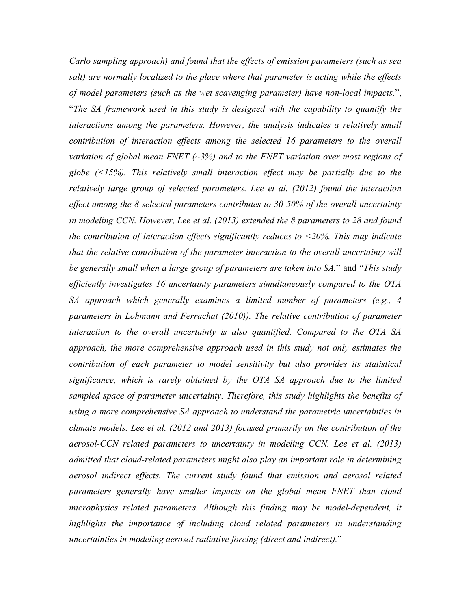*Carlo sampling approach) and found that the effects of emission parameters (such as sea salt) are normally localized to the place where that parameter is acting while the effects of model parameters (such as the wet scavenging parameter) have non-local impacts.*", "*The SA framework used in this study is designed with the capability to quantify the interactions among the parameters. However, the analysis indicates a relatively small contribution of interaction effects among the selected 16 parameters to the overall variation of global mean FNET (~3%) and to the FNET variation over most regions of globe (<15%). This relatively small interaction effect may be partially due to the relatively large group of selected parameters. Lee et al. (2012) found the interaction effect among the 8 selected parameters contributes to 30-50% of the overall uncertainty in modeling CCN. However, Lee et al. (2013) extended the 8 parameters to 28 and found the contribution of interaction effects significantly reduces to <20%. This may indicate that the relative contribution of the parameter interaction to the overall uncertainty will be generally small when a large group of parameters are taken into SA.*" and "*This study efficiently investigates 16 uncertainty parameters simultaneously compared to the OTA SA approach which generally examines a limited number of parameters (e.g., 4 parameters in Lohmann and Ferrachat (2010)). The relative contribution of parameter interaction to the overall uncertainty is also quantified. Compared to the OTA SA approach, the more comprehensive approach used in this study not only estimates the contribution of each parameter to model sensitivity but also provides its statistical significance, which is rarely obtained by the OTA SA approach due to the limited sampled space of parameter uncertainty. Therefore, this study highlights the benefits of using a more comprehensive SA approach to understand the parametric uncertainties in climate models. Lee et al. (2012 and 2013) focused primarily on the contribution of the aerosol-CCN related parameters to uncertainty in modeling CCN. Lee et al. (2013) admitted that cloud-related parameters might also play an important role in determining aerosol indirect effects. The current study found that emission and aerosol related parameters generally have smaller impacts on the global mean FNET than cloud*  microphysics related parameters. Although this finding may be model-dependent, it *highlights the importance of including cloud related parameters in understanding uncertainties in modeling aerosol radiative forcing (direct and indirect).*"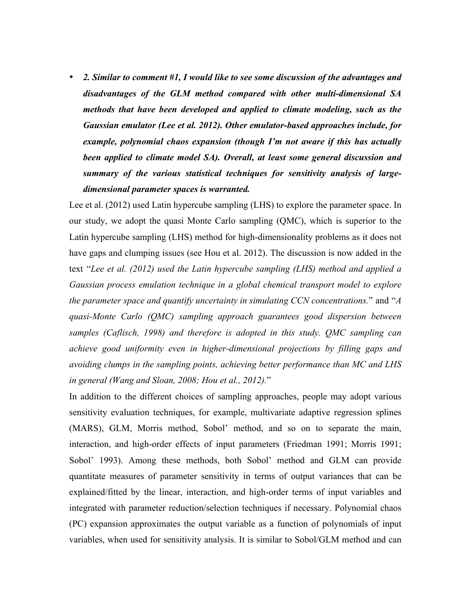• *2. Similar to comment #1, I would like to see some discussion of the advantages and disadvantages of the GLM method compared with other multi-dimensional SA methods that have been developed and applied to climate modeling, such as the Gaussian emulator (Lee et al. 2012). Other emulator-based approaches include, for example, polynomial chaos expansion (though I'm not aware if this has actually been applied to climate model SA). Overall, at least some general discussion and summary of the various statistical techniques for sensitivity analysis of largedimensional parameter spaces is warranted.*

Lee et al. (2012) used Latin hypercube sampling (LHS) to explore the parameter space. In our study, we adopt the quasi Monte Carlo sampling (QMC), which is superior to the Latin hypercube sampling (LHS) method for high-dimensionality problems as it does not have gaps and clumping issues (see Hou et al. 2012). The discussion is now added in the text "*Lee et al. (2012) used the Latin hypercube sampling (LHS) method and applied a Gaussian process emulation technique in a global chemical transport model to explore the parameter space and quantify uncertainty in simulating CCN concentrations.*" and "*A quasi-Monte Carlo (QMC) sampling approach guarantees good dispersion between samples (Caflisch, 1998) and therefore is adopted in this study. QMC sampling can achieve good uniformity even in higher-dimensional projections by filling gaps and avoiding clumps in the sampling points, achieving better performance than MC and LHS in general (Wang and Sloan, 2008; Hou et al., 2012).*"

In addition to the different choices of sampling approaches, people may adopt various sensitivity evaluation techniques, for example, multivariate adaptive regression splines (MARS), GLM, Morris method, Sobol' method, and so on to separate the main, interaction, and high-order effects of input parameters (Friedman 1991; Morris 1991; Sobol' 1993). Among these methods, both Sobol' method and GLM can provide quantitate measures of parameter sensitivity in terms of output variances that can be explained/fitted by the linear, interaction, and high-order terms of input variables and integrated with parameter reduction/selection techniques if necessary. Polynomial chaos (PC) expansion approximates the output variable as a function of polynomials of input variables, when used for sensitivity analysis. It is similar to Sobol/GLM method and can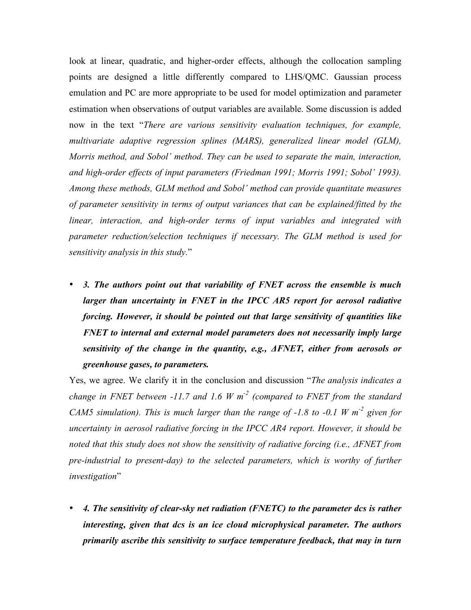look at linear, quadratic, and higher-order effects, although the collocation sampling points are designed a little differently compared to LHS/QMC. Gaussian process emulation and PC are more appropriate to be used for model optimization and parameter estimation when observations of output variables are available. Some discussion is added now in the text "*There are various sensitivity evaluation techniques, for example, multivariate adaptive regression splines (MARS), generalized linear model (GLM), Morris method, and Sobol' method. They can be used to separate the main, interaction, and high-order effects of input parameters (Friedman 1991; Morris 1991; Sobol' 1993). Among these methods, GLM method and Sobol' method can provide quantitate measures of parameter sensitivity in terms of output variances that can be explained/fitted by the linear, interaction, and high-order terms of input variables and integrated with parameter reduction/selection techniques if necessary. The GLM method is used for sensitivity analysis in this study.*"

• *3. The authors point out that variability of FNET across the ensemble is much larger than uncertainty in FNET in the IPCC AR5 report for aerosol radiative forcing. However, it should be pointed out that large sensitivity of quantities like FNET to internal and external model parameters does not necessarily imply large sensitivity of the change in the quantity, e.g., ΔFNET, either from aerosols or greenhouse gases, to parameters.*

Yes, we agree. We clarify it in the conclusion and discussion "*The analysis indicates a change in FNET between -11.7 and 1.6 W m-2 (compared to FNET from the standard CAM5 simulation). This is much larger than the range of -1.8 to -0.1 W m-2 given for uncertainty in aerosol radiative forcing in the IPCC AR4 report. However, it should be noted that this study does not show the sensitivity of radiative forcing (i.e.,*  $\Delta FNET$  *from pre-industrial to present-day) to the selected parameters, which is worthy of further investigation*"

• *4. The sensitivity of clear-sky net radiation (FNETC) to the parameter dcs is rather interesting, given that dcs is an ice cloud microphysical parameter. The authors primarily ascribe this sensitivity to surface temperature feedback, that may in turn*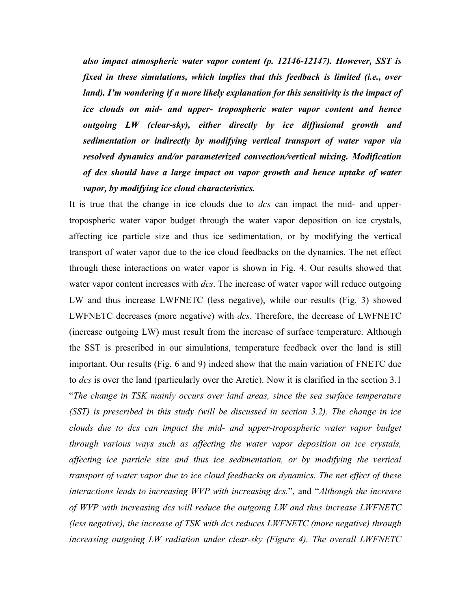*also impact atmospheric water vapor content (p. 12146-12147). However, SST is fixed in these simulations, which implies that this feedback is limited (i.e., over land). I'm wondering if a more likely explanation for this sensitivity is the impact of ice clouds on mid- and upper- tropospheric water vapor content and hence outgoing LW (clear-sky), either directly by ice diffusional growth and sedimentation or indirectly by modifying vertical transport of water vapor via resolved dynamics and/or parameterized convection/vertical mixing. Modification of dcs should have a large impact on vapor growth and hence uptake of water vapor, by modifying ice cloud characteristics.*

It is true that the change in ice clouds due to *dcs* can impact the mid- and uppertropospheric water vapor budget through the water vapor deposition on ice crystals, affecting ice particle size and thus ice sedimentation, or by modifying the vertical transport of water vapor due to the ice cloud feedbacks on the dynamics. The net effect through these interactions on water vapor is shown in Fig. 4. Our results showed that water vapor content increases with *dcs*. The increase of water vapor will reduce outgoing LW and thus increase LWFNETC (less negative), while our results (Fig. 3) showed LWFNETC decreases (more negative) with *dcs*. Therefore, the decrease of LWFNETC (increase outgoing LW) must result from the increase of surface temperature. Although the SST is prescribed in our simulations, temperature feedback over the land is still important. Our results (Fig. 6 and 9) indeed show that the main variation of FNETC due to *dcs* is over the land (particularly over the Arctic). Now it is clarified in the section 3.1 "*The change in TSK mainly occurs over land areas, since the sea surface temperature (SST) is prescribed in this study (will be discussed in section 3.2). The change in ice clouds due to dcs can impact the mid- and upper-tropospheric water vapor budget through various ways such as affecting the water vapor deposition on ice crystals, affecting ice particle size and thus ice sedimentation, or by modifying the vertical transport of water vapor due to ice cloud feedbacks on dynamics. The net effect of these interactions leads to increasing WVP with increasing dcs.*", and "*Although the increase of WVP with increasing dcs will reduce the outgoing LW and thus increase LWFNETC (less negative), the increase of TSK with dcs reduces LWFNETC (more negative) through increasing outgoing LW radiation under clear-sky (Figure 4). The overall LWFNETC*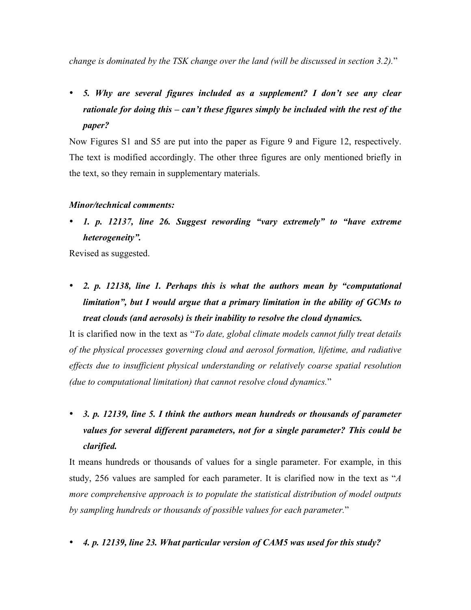*change is dominated by the TSK change over the land (will be discussed in section 3.2).*"

• *5. Why are several figures included as a supplement? I don't see any clear rationale for doing this – can't these figures simply be included with the rest of the paper?*

Now Figures S1 and S5 are put into the paper as Figure 9 and Figure 12, respectively. The text is modified accordingly. The other three figures are only mentioned briefly in the text, so they remain in supplementary materials.

## *Minor/technical comments:*

• *1. p. 12137, line 26. Suggest rewording "vary extremely" to "have extreme heterogeneity".*

Revised as suggested.

• *2. p. 12138, line 1. Perhaps this is what the authors mean by "computational limitation", but I would argue that a primary limitation in the ability of GCMs to treat clouds (and aerosols) is their inability to resolve the cloud dynamics.*

It is clarified now in the text as "*To date, global climate models cannot fully treat details of the physical processes governing cloud and aerosol formation, lifetime, and radiative effects due to insufficient physical understanding or relatively coarse spatial resolution (due to computational limitation) that cannot resolve cloud dynamics.*"

• *3. p. 12139, line 5. I think the authors mean hundreds or thousands of parameter values for several different parameters, not for a single parameter? This could be clarified.*

It means hundreds or thousands of values for a single parameter. For example, in this study, 256 values are sampled for each parameter. It is clarified now in the text as "*A more comprehensive approach is to populate the statistical distribution of model outputs by sampling hundreds or thousands of possible values for each parameter.*"

• *4. p. 12139, line 23. What particular version of CAM5 was used for this study?*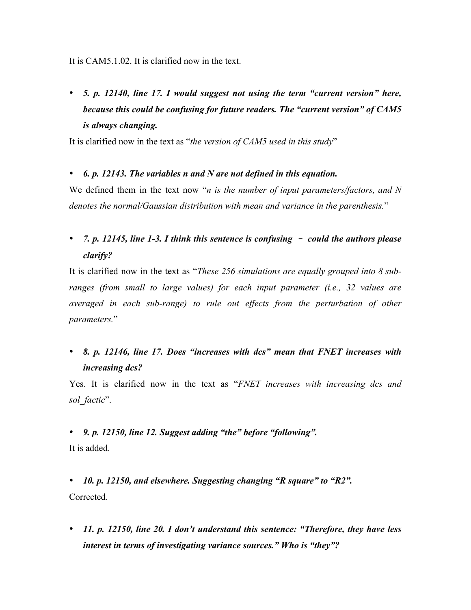It is CAM5.1.02. It is clarified now in the text.

• *5. p. 12140, line 17. I would suggest not using the term "current version" here, because this could be confusing for future readers. The "current version" of CAM5 is always changing.*

It is clarified now in the text as "*the version of CAM5 used in this study*"

## • *6. p. 12143. The variables n and N are not defined in this equation.*

We defined them in the text now "*n is the number of input parameters/factors, and N denotes the normal/Gaussian distribution with mean and variance in the parenthesis.*"

# • *7. p. 12145, line 1-3. I think this sentence is confusing* – *could the authors please clarify?*

It is clarified now in the text as "*These 256 simulations are equally grouped into 8 subranges (from small to large values) for each input parameter (i.e., 32 values are averaged in each sub-range) to rule out effects from the perturbation of other parameters.*"

## • *8. p. 12146, line 17. Does "increases with dcs" mean that FNET increases with increasing dcs?*

Yes. It is clarified now in the text as "*FNET increases with increasing dcs and sol\_factic*".

## • *9. p. 12150, line 12. Suggest adding "the" before "following".*

It is added.

• *10. p. 12150, and elsewhere. Suggesting changing "R square" to "R2".* Corrected.

• *11. p. 12150, line 20. I don't understand this sentence: "Therefore, they have less interest in terms of investigating variance sources." Who is "they"?*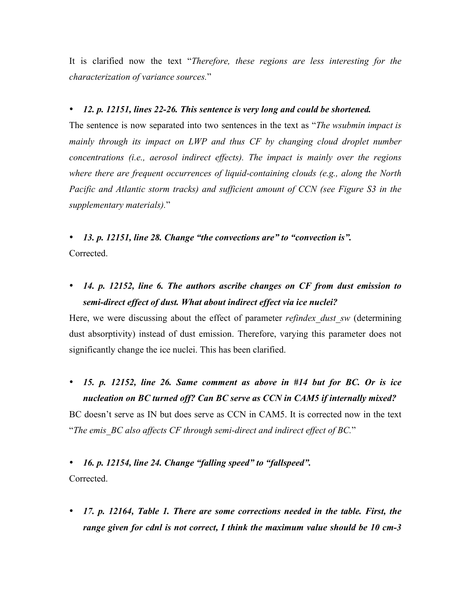It is clarified now the text "*Therefore, these regions are less interesting for the characterization of variance sources.*"

### • *12. p. 12151, lines 22-26. This sentence is very long and could be shortened.*

The sentence is now separated into two sentences in the text as "*The wsubmin impact is mainly through its impact on LWP and thus CF by changing cloud droplet number concentrations (i.e., aerosol indirect effects). The impact is mainly over the regions where there are frequent occurrences of liquid-containing clouds (e.g., along the North Pacific and Atlantic storm tracks) and sufficient amount of CCN (see Figure S3 in the supplementary materials).*"

• *13. p. 12151, line 28. Change "the convections are" to "convection is".* Corrected.

• *14. p. 12152, line 6. The authors ascribe changes on CF from dust emission to semi-direct effect of dust. What about indirect effect via ice nuclei?*

Here, we were discussing about the effect of parameter *refindex* dust sw (determining dust absorptivity) instead of dust emission. Therefore, varying this parameter does not significantly change the ice nuclei. This has been clarified.

• *15. p. 12152, line 26. Same comment as above in #14 but for BC. Or is ice nucleation on BC turned off? Can BC serve as CCN in CAM5 if internally mixed?*

BC doesn't serve as IN but does serve as CCN in CAM5. It is corrected now in the text "*The emis\_BC also affects CF through semi-direct and indirect effect of BC.*"

• *16. p. 12154, line 24. Change "falling speed" to "fallspeed".* Corrected.

• *17. p. 12164, Table 1. There are some corrections needed in the table. First, the range given for cdnl is not correct, I think the maximum value should be 10 cm-3*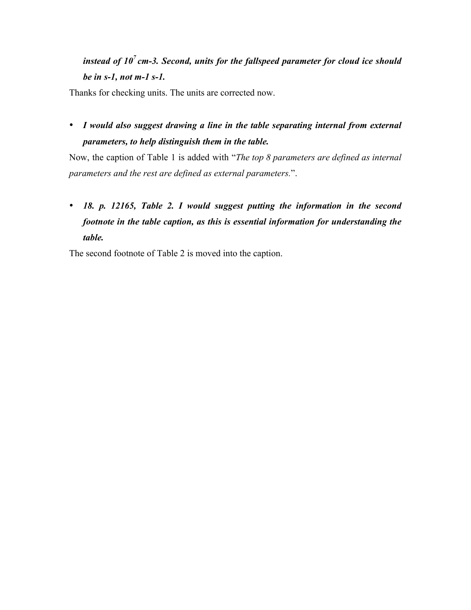# *instead of 10<sup>7</sup> cm-3. Second, units for the fallspeed parameter for cloud ice should be in s-1, not m-1 s-1.*

Thanks for checking units. The units are corrected now.

• *I would also suggest drawing a line in the table separating internal from external parameters, to help distinguish them in the table.* 

Now, the caption of Table 1 is added with "*The top 8 parameters are defined as internal parameters and the rest are defined as external parameters.*".

# • *18. p. 12165, Table 2. I would suggest putting the information in the second footnote in the table caption, as this is essential information for understanding the table.*

The second footnote of Table 2 is moved into the caption.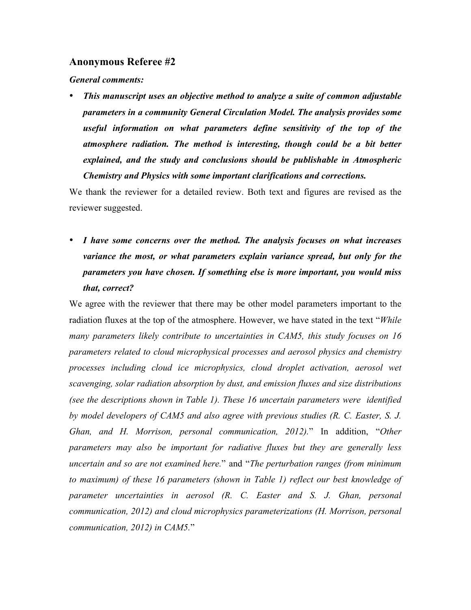### **Anonymous Referee #2**

*General comments:*

• *This manuscript uses an objective method to analyze a suite of common adjustable parameters in a community General Circulation Model. The analysis provides some useful information on what parameters define sensitivity of the top of the atmosphere radiation. The method is interesting, though could be a bit better explained, and the study and conclusions should be publishable in Atmospheric Chemistry and Physics with some important clarifications and corrections.*

We thank the reviewer for a detailed review. Both text and figures are revised as the reviewer suggested.

• *I have some concerns over the method. The analysis focuses on what increases variance the most, or what parameters explain variance spread, but only for the parameters you have chosen. If something else is more important, you would miss that, correct?*

We agree with the reviewer that there may be other model parameters important to the radiation fluxes at the top of the atmosphere. However, we have stated in the text "*While many parameters likely contribute to uncertainties in CAM5, this study focuses on 16 parameters related to cloud microphysical processes and aerosol physics and chemistry processes including cloud ice microphysics, cloud droplet activation, aerosol wet scavenging, solar radiation absorption by dust, and emission fluxes and size distributions (see the descriptions shown in Table 1). These 16 uncertain parameters were identified by model developers of CAM5 and also agree with previous studies (R. C. Easter, S. J. Ghan, and H. Morrison, personal communication, 2012).*" In addition, "*Other parameters may also be important for radiative fluxes but they are generally less uncertain and so are not examined here.*" and "*The perturbation ranges (from minimum to maximum) of these 16 parameters (shown in Table 1) reflect our best knowledge of parameter uncertainties in aerosol (R. C. Easter and S. J. Ghan, personal communication, 2012) and cloud microphysics parameterizations (H. Morrison, personal communication, 2012) in CAM5.*"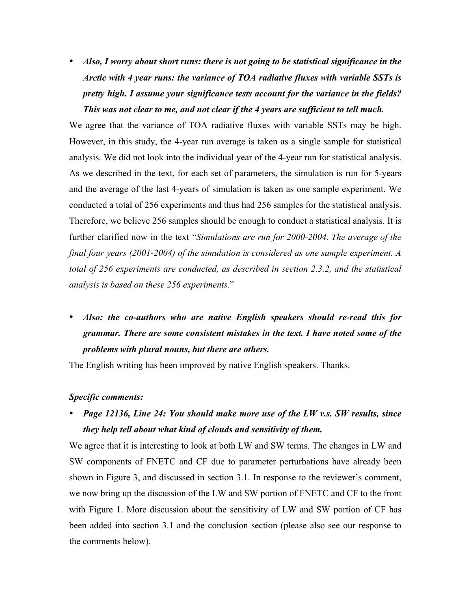• *Also, I worry about short runs: there is not going to be statistical significance in the Arctic with 4 year runs: the variance of TOA radiative fluxes with variable SSTs is pretty high. I assume your significance tests account for the variance in the fields? This was not clear to me, and not clear if the 4 years are sufficient to tell much.*

We agree that the variance of TOA radiative fluxes with variable SSTs may be high. However, in this study, the 4-year run average is taken as a single sample for statistical analysis. We did not look into the individual year of the 4-year run for statistical analysis. As we described in the text, for each set of parameters, the simulation is run for 5-years and the average of the last 4-years of simulation is taken as one sample experiment. We conducted a total of 256 experiments and thus had 256 samples for the statistical analysis. Therefore, we believe 256 samples should be enough to conduct a statistical analysis. It is further clarified now in the text "*Simulations are run for 2000-2004. The average of the final four years (2001-2004) of the simulation is considered as one sample experiment. A total of 256 experiments are conducted, as described in section 2.3.2, and the statistical analysis is based on these 256 experiments.*"

• *Also: the co-authors who are native English speakers should re-read this for grammar. There are some consistent mistakes in the text. I have noted some of the problems with plural nouns, but there are others.*

The English writing has been improved by native English speakers. Thanks.

#### *Specific comments:*

• *Page 12136, Line 24: You should make more use of the LW v.s. SW results, since they help tell about what kind of clouds and sensitivity of them.*

We agree that it is interesting to look at both LW and SW terms. The changes in LW and SW components of FNETC and CF due to parameter perturbations have already been shown in Figure 3, and discussed in section 3.1. In response to the reviewer's comment, we now bring up the discussion of the LW and SW portion of FNETC and CF to the front with Figure 1. More discussion about the sensitivity of LW and SW portion of CF has been added into section 3.1 and the conclusion section (please also see our response to the comments below).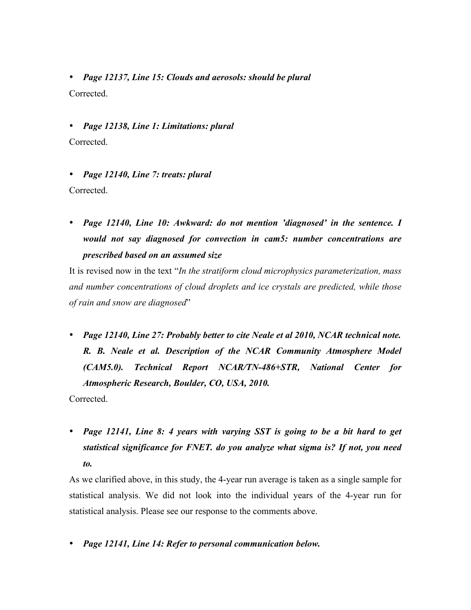• *Page 12137, Line 15: Clouds and aerosols: should be plural* Corrected.

• *Page 12138, Line 1: Limitations: plural* Corrected.

• *Page 12140, Line 7: treats: plural* Corrected.

• *Page 12140, Line 10: Awkward: do not mention 'diagnosed' in the sentence. I would not say diagnosed for convection in cam5: number concentrations are prescribed based on an assumed size*

It is revised now in the text "*In the stratiform cloud microphysics parameterization, mass and number concentrations of cloud droplets and ice crystals are predicted, while those of rain and snow are diagnosed*"

• *Page 12140, Line 27: Probably better to cite Neale et al 2010, NCAR technical note. R. B. Neale et al. Description of the NCAR Community Atmosphere Model (CAM5.0). Technical Report NCAR/TN-486+STR, National Center for Atmospheric Research, Boulder, CO, USA, 2010.*

Corrected.

• *Page 12141, Line 8: 4 years with varying SST is going to be a bit hard to get statistical significance for FNET. do you analyze what sigma is? If not, you need to.*

As we clarified above, in this study, the 4-year run average is taken as a single sample for statistical analysis. We did not look into the individual years of the 4-year run for statistical analysis. Please see our response to the comments above.

• *Page 12141, Line 14: Refer to personal communication below.*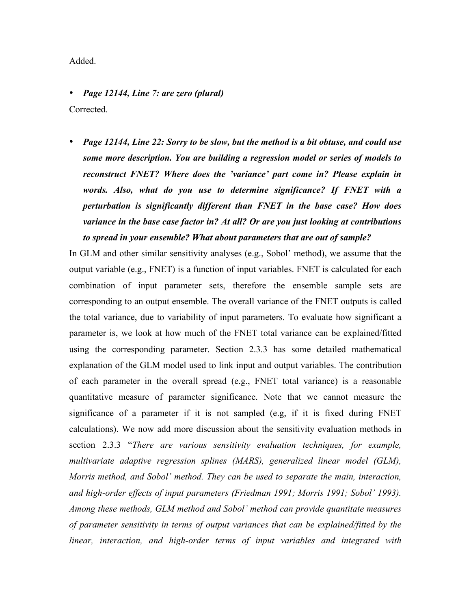### Added.

• *Page 12144, Line 7: are zero (plural)* Corrected.

• *Page 12144, Line 22: Sorry to be slow, but the method is a bit obtuse, and could use some more description. You are building a regression model or series of models to reconstruct FNET? Where does the 'variance' part come in? Please explain in words. Also, what do you use to determine significance? If FNET with a perturbation is significantly different than FNET in the base case? How does variance in the base case factor in? At all? Or are you just looking at contributions to spread in your ensemble? What about parameters that are out of sample?*

In GLM and other similar sensitivity analyses (e.g., Sobol' method), we assume that the output variable (e.g., FNET) is a function of input variables. FNET is calculated for each combination of input parameter sets, therefore the ensemble sample sets are corresponding to an output ensemble. The overall variance of the FNET outputs is called the total variance, due to variability of input parameters. To evaluate how significant a parameter is, we look at how much of the FNET total variance can be explained/fitted using the corresponding parameter. Section 2.3.3 has some detailed mathematical explanation of the GLM model used to link input and output variables. The contribution of each parameter in the overall spread (e.g., FNET total variance) is a reasonable quantitative measure of parameter significance. Note that we cannot measure the significance of a parameter if it is not sampled (e.g, if it is fixed during FNET calculations). We now add more discussion about the sensitivity evaluation methods in section 2.3.3 "*There are various sensitivity evaluation techniques, for example, multivariate adaptive regression splines (MARS), generalized linear model (GLM), Morris method, and Sobol' method. They can be used to separate the main, interaction, and high-order effects of input parameters (Friedman 1991; Morris 1991; Sobol' 1993). Among these methods, GLM method and Sobol' method can provide quantitate measures of parameter sensitivity in terms of output variances that can be explained/fitted by the linear, interaction, and high-order terms of input variables and integrated with*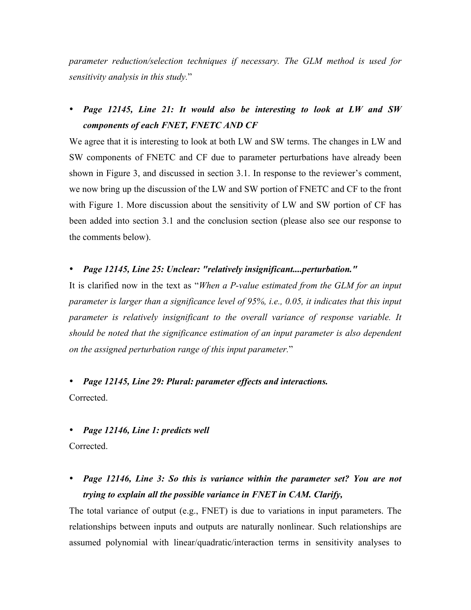*parameter reduction/selection techniques if necessary. The GLM method is used for sensitivity analysis in this study.*"

• *Page 12145, Line 21: It would also be interesting to look at LW and SW components of each FNET, FNETC AND CF*

We agree that it is interesting to look at both LW and SW terms. The changes in LW and SW components of FNETC and CF due to parameter perturbations have already been shown in Figure 3, and discussed in section 3.1. In response to the reviewer's comment, we now bring up the discussion of the LW and SW portion of FNETC and CF to the front with Figure 1. More discussion about the sensitivity of LW and SW portion of CF has been added into section 3.1 and the conclusion section (please also see our response to the comments below).

### • *Page 12145, Line 25: Unclear: "relatively insignificant....perturbation."*

It is clarified now in the text as "*When a P-value estimated from the GLM for an input parameter is larger than a significance level of 95%, i.e., 0.05, it indicates that this input parameter is relatively insignificant to the overall variance of response variable. It should be noted that the significance estimation of an input parameter is also dependent on the assigned perturbation range of this input parameter.*"

• *Page 12145, Line 29: Plural: parameter effects and interactions.* Corrected.

• *Page 12146, Line 1: predicts well* Corrected.

• *Page 12146, Line 3: So this is variance within the parameter set? You are not trying to explain all the possible variance in FNET in CAM. Clarify,*

The total variance of output (e.g., FNET) is due to variations in input parameters. The relationships between inputs and outputs are naturally nonlinear. Such relationships are assumed polynomial with linear/quadratic/interaction terms in sensitivity analyses to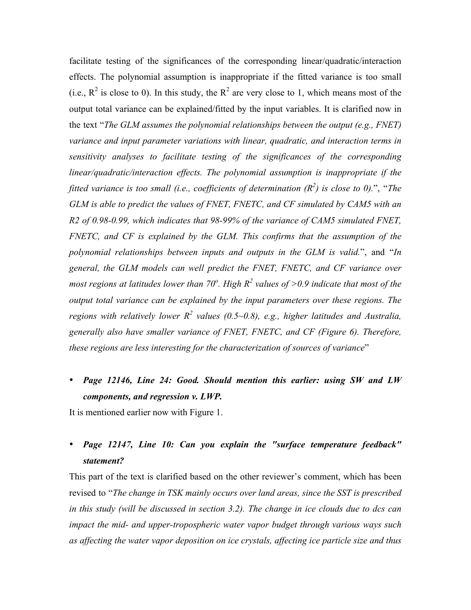facilitate testing of the significances of the corresponding linear/quadratic/interaction effects. The polynomial assumption is inappropriate if the fitted variance is too small (i.e.,  $R^2$  is close to 0). In this study, the  $R^2$  are very close to 1, which means most of the output total variance can be explained/fitted by the input variables. It is clarified now in the text "*The GLM assumes the polynomial relationships between the output (e.g., FNET) variance and input parameter variations with linear, quadratic, and interaction terms in sensitivity analyses to facilitate testing of the significances of the corresponding linear/quadratic/interaction effects. The polynomial assumption is inappropriate if the fitted variance is too small (i.e., coefficients of determination*  $(R^2)$  *is close to 0).*", "*The GLM is able to predict the values of FNET, FNETC, and CF simulated by CAM5 with an R2 of 0.98-0.99, which indicates that 98-99% of the variance of CAM5 simulated FNET, FNETC, and CF is explained by the GLM. This confirms that the assumption of the polynomial relationships between inputs and outputs in the GLM is valid.*", and "*In general, the GLM models can well predict the FNET, FNETC, and CF variance over most regions at latitudes lower than 70<sup>o</sup> . High R2 values of >0.9 indicate that most of the output total variance can be explained by the input parameters over these regions. The regions with relatively lower R<sup>2</sup> values (0.5~0.8), e.g., higher latitudes and Australia, generally also have smaller variance of FNET, FNETC, and CF (Figure 6). Therefore, these regions are less interesting for the characterization of sources of variance*"

## • *Page 12146, Line 24: Good. Should mention this earlier: using SW and LW components, and regression v. LWP.*

It is mentioned earlier now with Figure 1.

## • *Page 12147, Line 10: Can you explain the "surface temperature feedback" statement?*

This part of the text is clarified based on the other reviewer's comment, which has been revised to "*The change in TSK mainly occurs over land areas, since the SST is prescribed in this study (will be discussed in section 3.2). The change in ice clouds due to dcs can impact the mid- and upper-tropospheric water vapor budget through various ways such as affecting the water vapor deposition on ice crystals, affecting ice particle size and thus*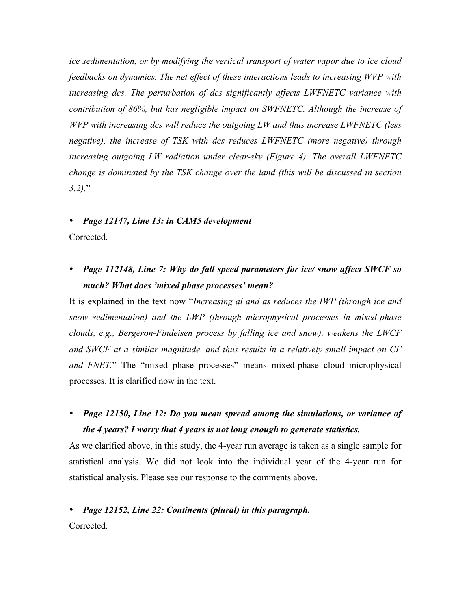*ice sedimentation, or by modifying the vertical transport of water vapor due to ice cloud feedbacks on dynamics. The net effect of these interactions leads to increasing WVP with increasing dcs. The perturbation of dcs significantly affects LWFNETC variance with contribution of 86%, but has negligible impact on SWFNETC. Although the increase of WVP with increasing dcs will reduce the outgoing LW and thus increase LWFNETC (less negative), the increase of TSK with dcs reduces LWFNETC (more negative) through increasing outgoing LW radiation under clear-sky (Figure 4). The overall LWFNETC change is dominated by the TSK change over the land (this will be discussed in section 3.2).*"

### • *Page 12147, Line 13: in CAM5 development*

Corrected.

## • *Page 112148, Line 7: Why do fall speed parameters for ice/ snow affect SWCF so much? What does 'mixed phase processes' mean?*

It is explained in the text now "*Increasing ai and as reduces the IWP (through ice and snow sedimentation) and the LWP (through microphysical processes in mixed-phase clouds, e.g., Bergeron-Findeisen process by falling ice and snow), weakens the LWCF and SWCF at a similar magnitude, and thus results in a relatively small impact on CF and FNET.*" The "mixed phase processes" means mixed-phase cloud microphysical processes. It is clarified now in the text.

• *Page 12150, Line 12: Do you mean spread among the simulations, or variance of the 4 years? I worry that 4 years is not long enough to generate statistics.*

As we clarified above, in this study, the 4-year run average is taken as a single sample for statistical analysis. We did not look into the individual year of the 4-year run for statistical analysis. Please see our response to the comments above.

## • *Page 12152, Line 22: Continents (plural) in this paragraph.*

Corrected.